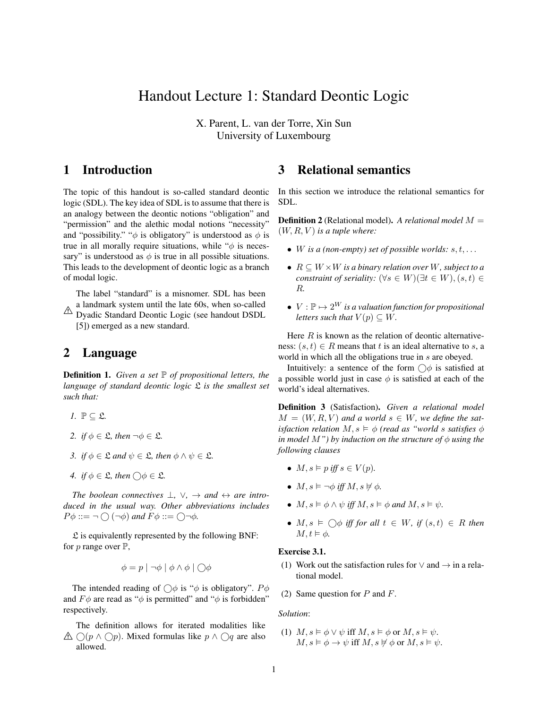# Handout Lecture 1: Standard Deontic Logic

X. Parent, L. van der Torre, Xin Sun University of Luxembourg

## 1 Introduction

The topic of this handout is so-called standard deontic logic (SDL). The key idea of SDL is to assume that there is an analogy between the deontic notions "obligation" and "permission" and the alethic modal notions "necessity" and "possibility." " $\phi$  is obligatory" is understood as  $\phi$  is true in all morally require situations, while " $\phi$  is necessary" is understood as  $\phi$  is true in all possible situations. This leads to the development of deontic logic as a branch of modal logic.

The label "standard" is a misnomer. SDL has been a landmark system until the late 60s, when so-called

<sup>2</sup> Dyadic Standard Deontic Logic (see handout DSDL [5]) emerged as a new standard.

## 2 Language

Definition 1. *Given a set* P *of propositional letters, the language of standard deontic logic* L *is the smallest set such that:*

- *1.*  $\mathbb{P} \subset \mathfrak{L}$ .
- *2. if*  $\phi \in \mathfrak{L}$ *, then*  $\neg \phi \in \mathfrak{L}$ *.*
- *3. if*  $\phi \in \mathfrak{L}$  *and*  $\psi \in \mathfrak{L}$ *, then*  $\phi \wedge \psi \in \mathfrak{L}$ *.*
- *4.* if  $\phi \in \mathfrak{L}$ , then  $\bigcirc \phi \in \mathfrak{L}$ .

*The boolean connectives*  $\bot$ ,  $\vee$ ,  $\rightarrow$  *and*  $\leftrightarrow$  *are introduced in the usual way. Other abbreviations includes*  $P\phi ::= \neg \bigcirc (\neg \phi)$  and  $F\phi ::= \bigcirc \neg \phi$ .

 $\mathfrak L$  is equivalently represented by the following BNF: for  $p$  range over  $\mathbb{P}$ ,

$$
\phi = p \mid \neg \phi \mid \phi \land \phi \mid \bigcirc \phi
$$

The intended reading of  $\bigcirc \phi$  is " $\phi$  is obligatory".  $P\phi$ and  $F\phi$  are read as " $\phi$  is permitted" and " $\phi$  is forbidden" respectively.

 $\triangle$  ○( $p \wedge$  ○ $p$ ). Mixed formulas like  $p \wedge$  ○q are also The definition allows for iterated modalities like allowed.

## 3 Relational semantics

In this section we introduce the relational semantics for SDL.

Definition 2 (Relational model). *A relational model* M =  $(W, R, V)$  *is a tuple where:* 

- W is a (non-empty) set of possible worlds:  $s, t, \ldots$
- R ⊆ W ×W *is a binary relation over* W*, subject to a constraint of seriality:*  $(\forall s \in W)(\exists t \in W)$ ,  $(s, t) \in$ R*.*
- $V : \mathbb{P} \mapsto 2^W$  *is a valuation function for propositional letters such that*  $V(p) \subseteq W$ .

Here  $R$  is known as the relation of deontic alternativeness:  $(s, t) \in R$  means that t is an ideal alternative to s, a world in which all the obligations true in s are obeyed.

Intuitively: a sentence of the form  $\bigcirc$  is satisfied at a possible world just in case  $\phi$  is satisfied at each of the world's ideal alternatives.

Definition 3 (Satisfaction). *Given a relational model*  $M = (W, R, V)$  and a world  $s \in W$ , we define the sat*isfaction relation*  $M, s \models \phi$  *(read as "world s satisfies*  $\phi$ *in model*  $M$ "*)* by *induction on the structure of*  $\phi$  *using the following clauses*

- $M, s \models p$  *iff*  $s \in V(p)$ *.*
- $M, s \models \neg \phi \text{ iff } M, s \not\models \phi.$
- $M, s \models \phi \land \psi$  *iff*  $M, s \models \phi$  and  $M, s \models \psi$ .
- $M, s \models \bigcirc \phi$  *iff for all*  $t \in W$ *, if*  $(s, t) \in R$  *then*  $M, t \vDash \phi$ .

#### Exercise 3.1.

(1) Work out the satisfaction rules for  $\vee$  and  $\rightarrow$  in a relational model.

(2) Same question for  $P$  and  $F$ .

#### *Solution*:

(1)  $M, s \models \phi \lor \psi$  iff  $M, s \models \phi$  or  $M, s \models \psi$ .  $M, s \models \phi \rightarrow \psi$  iff  $M, s \not\vDash \phi$  or  $M, s \models \psi$ .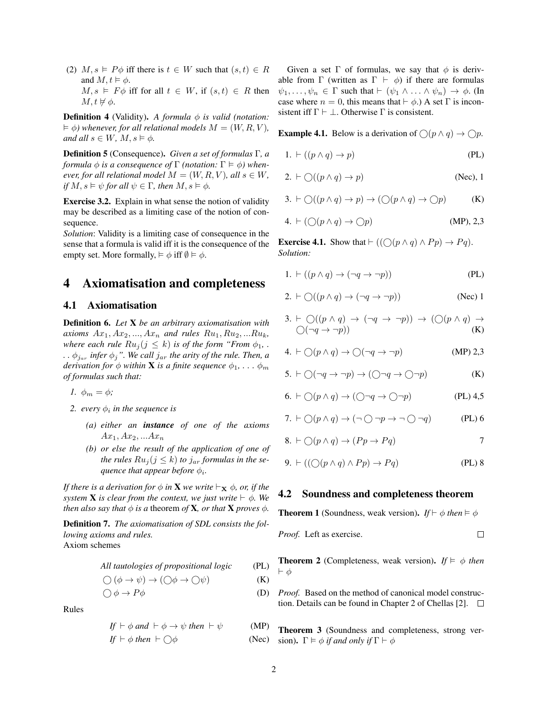(2)  $M, s \models P\phi$  iff there is  $t \in W$  such that  $(s, t) \in R$ and  $M, t \models \phi$ .  $M, s \models F\phi$  iff for all  $t \in W$ , if  $(s, t) \in R$  then  $M, t \not \models \phi.$ 

**Definition 4** (Validity). *A formula*  $\phi$  *is valid (notation:*  $\models \phi$ ) whenever, for all relational models  $M = (W, R, V)$ , *and all*  $s \in W$ *,*  $M$ *,*  $s \models \phi$ *.* 

Definition 5 (Consequence). *Given a set of formulas* Γ*, a formula*  $\phi$  *is a consequence of*  $\Gamma$  *(notation:*  $\Gamma \models \phi$ ) when*ever, for all relational model*  $M = (W, R, V)$ *, all*  $s \in W$ *, if*  $M, s \models \psi$  *for all*  $\psi \in \Gamma$ *, then*  $M, s \models \phi$ *.* 

Exercise 3.2. Explain in what sense the notion of validity may be described as a limiting case of the notion of consequence.

*Solution*: Validity is a limiting case of consequence in the sense that a formula is valid iff it is the consequence of the empty set. More formally,  $\models \phi$  iff  $\emptyset \models \phi$ .

## 4 Axiomatisation and completeness

### 4.1 Axiomatisation

Definition 6. *Let* X *be an arbitrary axiomatisation with axioms*  $Ax_1, Ax_2, ..., Ax_n$  *and rules*  $Ru_1, Ru_2, ...Ru_k$ , *where each rule*  $Ru_j(j \leq k)$  *is of the form "From*  $\phi_1$ *,...*  $\ldots \phi_{j_{ar}}$  infer  $\phi_j$ ". We call  $j_{ar}$  the arity of the rule. Then, a *derivation for*  $\phi$  *within* **X** *is a finite sequence*  $\phi_1, \ldots, \phi_m$ *of formulas such that:*

$$
I. \ \phi_m = \phi;
$$

- 2. every  $\phi_i$  in the sequence is
	- *(a) either an instance of one of the axioms*  $Ax_1, Ax_2, ... Ax_n$
	- *(b) or else the result of the application of one of the rules*  $Ru_j (j \leq k)$  *to*  $j_{ar}$  *formulas in the se-* $\emph{quence that appear before $\phi_i$}.$

*If there is a derivation for*  $\phi$  *in* **X** *we write*  $\vdash_{\mathbf{X}} \phi$ *, or, if the system* **X** *is clear from the context, we just write*  $\vdash \phi$ *. We then also say that*  $\phi$  *is a theorem of* **X***, or that* **X** *proves*  $\phi$ *.* 

Definition 7. *The axiomatisation of SDL consists the following axioms and rules.* Axiom schemes

*All tautologies of propositional logic* (PL)

$$
\bigcirc (\phi \to \psi) \to (\bigcirc \phi \to \bigcirc \psi)
$$
 (K)

$$
\bigcirc \phi \to P\phi \tag{D}
$$

Rules

$$
If \vdash \phi \text{ and } \vdash \phi \rightarrow \psi \text{ then } \vdash \psi \qquad (MP)
$$
  
\nIf \vdash \phi \text{ then } \vdash \bigcirc \phi \qquad (M \vdash \phi)

$$
If \vdash \phi \ then \vdash \bigcirc \phi \qquad \qquad (\text{Nec}) \quad \text{sion. } \Gamma \vDash \phi \ if \ and \ only \ if \ \Gamma \vdash \phi
$$

Given a set  $\Gamma$  of formulas, we say that  $\phi$  is derivable from  $\Gamma$  (written as  $\Gamma \vdash \phi$ ) if there are formulas  $\psi_1, \ldots, \psi_n \in \Gamma$  such that  $\vdash (\psi_1 \land \ldots \land \psi_n) \rightarrow \phi$ . (In case where  $n = 0$ , this means that  $\vdash \phi$ .) A set  $\Gamma$  is inconsistent iff  $\Gamma \vdash \bot$ . Otherwise  $\Gamma$  is consistent.

**Example 4.1.** Below is a derivation of  $\bigcap (p \land q) \to \bigcap p$ .

1. 
$$
\vdash ((p \land q) \to p)
$$
 (PL)

$$
2. \vdash \bigcirc ((p \land q) \to p) \tag{Nec}, 1
$$

$$
3. \vdash \bigcirc ((p \land q) \to p) \to (\bigcirc (p \land q) \to \bigcirc p) \tag{K}
$$

4. 
$$
\vdash (\bigcirc (p \land q) \to \bigcirc p)
$$
 (MP), 2,3

**Exercise 4.1.** Show that  $\vdash ((\bigcirc (p \land q) \land Pp) \rightarrow Pq)$ . *Solution:*

1. 
$$
\vdash ((p \land q) \rightarrow (\neg q \rightarrow \neg p))
$$
 (PL)

$$
2. \vdash \bigcirc ((p \land q) \to (\neg q \to \neg p)) \tag{Nec} 1
$$

3. 
$$
\vdash \bigcirc ((p \land q) \rightarrow (\neg q \rightarrow \neg p)) \rightarrow (\bigcirc (p \land q) \rightarrow \bigcirc (\neg q \rightarrow \neg p))
$$
  
(K)

4. 
$$
\vdash \bigcirc (p \land q) \rightarrow \bigcirc (\neg q \rightarrow \neg p)
$$
 (MP) 2,3

$$
5. \vdash \bigcirc (\neg q \to \neg p) \to (\bigcirc \neg q \to \bigcirc \neg p) \tag{K}
$$

$$
6. \vdash \bigcirc (p \land q) \to (\bigcirc \neg q \to \bigcirc \neg p) \tag{PL} \quad 4.5
$$

7. 
$$
\vdash \bigcirc (p \land q) \rightarrow (\neg \bigcirc \neg p \rightarrow \neg \bigcirc \neg q)
$$
 (PL) 6

$$
8. \vdash \bigcirc (p \land q) \to (Pp \to Pq) \tag{7}
$$

$$
9. \vdash ((\bigcirc (p \land q) \land Pp) \to Pq) \tag{PL} 8
$$

### 4.2 Soundness and completeness theorem

**Theorem 1** (Soundness, weak version). *If*  $\vdash \phi$  *then*  $\models \phi$ 

*Proof.* Left as exercise. 
$$
\Box
$$

**Theorem 2** (Completeness, weak version). *If*  $\models \phi$  *then*  $\vdash \phi$ 

*Proof.* Based on the method of canonical model construction. Details can be found in Chapter 2 of Chellas [2].  $\Box$ 

Theorem 3 (Soundness and completeness, strong ver-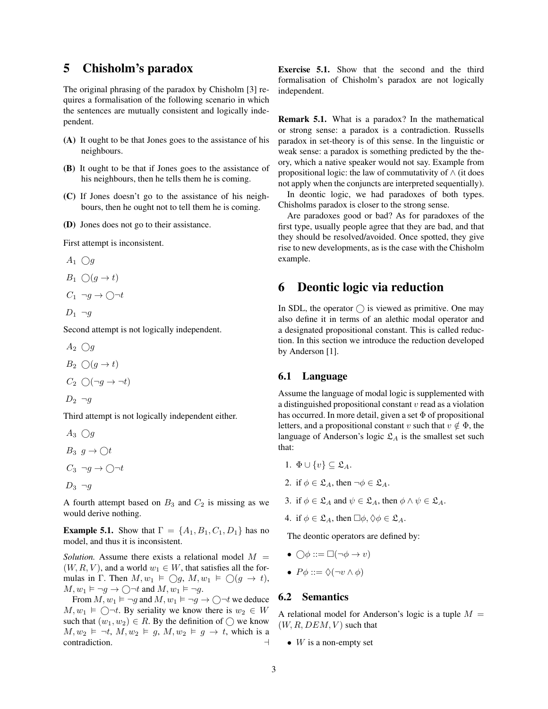## 5 Chisholm's paradox

The original phrasing of the paradox by Chisholm [3] requires a formalisation of the following scenario in which the sentences are mutually consistent and logically independent.

- (A) It ought to be that Jones goes to the assistance of his neighbours.
- (B) It ought to be that if Jones goes to the assistance of his neighbours, then he tells them he is coming.
- (C) If Jones doesn't go to the assistance of his neighbours, then he ought not to tell them he is coming.
- (D) Jones does not go to their assistance.

First attempt is inconsistent.

$$
A_1 \bigcirc g
$$
  
\n
$$
B_1 \bigcirc (g \to t)
$$
  
\n
$$
C_1 \neg g \to \bigcirc \neg t
$$

$$
D_1 \neg g
$$

Second attempt is not logically independent.

 $A_2 \cap q$  $B_2 \cap (g \to t)$  $C_2 \cap (\neg q \rightarrow \neg t)$ 

$$
D_2 \neg g
$$

Third attempt is not logically independent either.

 $A_3 \bigcirc g$  $B_3$   $q \to \bigcirc t$  $C_3 \neg g \rightarrow \bigcirc \neg t$  $D_3 \neg g$ 

A fourth attempt based on  $B_3$  and  $C_2$  is missing as we would derive nothing.

**Example 5.1.** Show that  $\Gamma = \{A_1, B_1, C_1, D_1\}$  has no model, and thus it is inconsistent.

*Solution.* Assume there exists a relational model  $M =$  $(W, R, V)$ , and a world  $w_1 \in W$ , that satisfies all the formulas in Γ. Then  $M, w_1 \models \bigcirc g, M, w_1 \models \bigcirc(g \rightarrow t),$  $M, w_1 \vDash \neg g \rightarrow \bigcirc \neg t$  and  $M, w_1 \vDash \neg g$ .

From  $M, w_1 \vDash \neg g$  and  $M, w_1 \vDash \neg g \rightarrow \bigcirc \neg t$  we deduce  $M, w_1 \models \bigcirc \neg t$ . By seriality we know there is  $w_2 \in W$ such that  $(w_1, w_2) \in R$ . By the definition of  $\bigcap$  we know  $M, w_2 \vDash \neg t, M, w_2 \vDash g, M, w_2 \vDash g \rightarrow t$ , which is a contradiction. contradiction.

Exercise 5.1. Show that the second and the third formalisation of Chisholm's paradox are not logically independent.

Remark 5.1. What is a paradox? In the mathematical or strong sense: a paradox is a contradiction. Russells paradox in set-theory is of this sense. In the linguistic or weak sense: a paradox is something predicted by the theory, which a native speaker would not say. Example from propositional logic: the law of commutativity of ∧ (it does not apply when the conjuncts are interpreted sequentially).

In deontic logic, we had paradoxes of both types. Chisholms paradox is closer to the strong sense.

Are paradoxes good or bad? As for paradoxes of the first type, usually people agree that they are bad, and that they should be resolved/avoided. Once spotted, they give rise to new developments, as is the case with the Chisholm example.

## 6 Deontic logic via reduction

In SDL, the operator  $\bigcirc$  is viewed as primitive. One may also define it in terms of an alethic modal operator and a designated propositional constant. This is called reduction. In this section we introduce the reduction developed by Anderson [1].

### 6.1 Language

Assume the language of modal logic is supplemented with a distinguished propositional constant  $v$  read as a violation has occurred. In more detail, given a set  $\Phi$  of propositional letters, and a propositional constant v such that  $v \notin \Phi$ , the language of Anderson's logic  $\mathfrak{L}_A$  is the smallest set such that:

- 1.  $\Phi \cup \{v\} \subset \mathfrak{L}_A$ .
- 2. if  $\phi \in \mathfrak{L}_A$ , then  $\neg \phi \in \mathfrak{L}_A$ .
- 3. if  $\phi \in \mathfrak{L}_A$  and  $\psi \in \mathfrak{L}_A$ , then  $\phi \wedge \psi \in \mathfrak{L}_A$ .
- 4. if  $\phi \in \mathfrak{L}_A$ , then  $\Box \phi, \Diamond \phi \in \mathfrak{L}_A$ .

The deontic operators are defined by:

- $\bigcirc \phi ::= \Box(\neg \phi \rightarrow v)$
- $P\phi ::= \Diamond(\neg v \land \phi)$

### 6.2 Semantics

A relational model for Anderson's logic is a tuple  $M =$  $(W, R, DEM, V)$  such that

•  $W$  is a non-empty set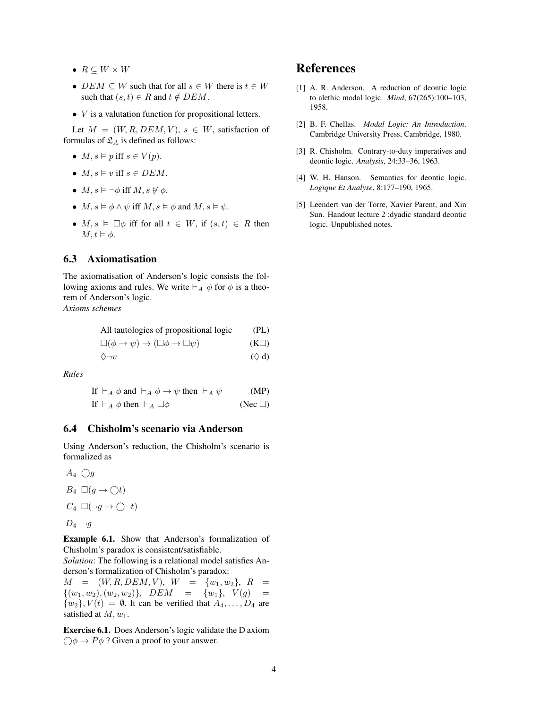- $R \subseteq W \times W$
- $DEM \subseteq W$  such that for all  $s \in W$  there is  $t \in W$ such that  $(s, t) \in R$  and  $t \notin DEM$ .
- $\bullet$  *V* is a valutation function for propositional letters.

Let  $M = (W, R, DEM, V), s \in W$ , satisfaction of formulas of  $\mathfrak{L}_A$  is defined as follows:

- $M, s \vDash p$  iff  $s \in V(p)$ .
- $M, s \models v$  iff  $s \in DEM$ .
- $M, s \models \neg \phi$  iff  $M, s \not\models \phi$ .
- $M, s \models \phi \land \psi$  iff  $M, s \models \phi$  and  $M, s \models \psi$ .
- $M, s \models \Box \phi$  iff for all  $t \in W$ , if  $(s, t) \in R$  then  $M, t \vDash \phi$ .

### 6.3 Axiomatisation

The axiomatisation of Anderson's logic consists the following axioms and rules. We write  $\vdash_A \phi$  for  $\phi$  is a theorem of Anderson's logic.

*Axioms schemes*

| All tautologies of propositional logic                              | (PL)      |
|---------------------------------------------------------------------|-----------|
| $\Box(\phi\rightarrow\psi)\rightarrow(\Box\phi\rightarrow\Box\psi)$ | $(K\Box)$ |

$$
\Diamond \neg v \tag{ } \Diamond \mathbf{d}
$$

*Rules*

| If $\vdash_A \phi$ and $\vdash_A \phi \rightarrow \psi$ then $\vdash_A \psi$ | (MP)         |
|------------------------------------------------------------------------------|--------------|
| If $\vdash_A \phi$ then $\vdash_A \Box \phi$                                 | $(Nec \Box)$ |

### 6.4 Chisholm's scenario via Anderson

Using Anderson's reduction, the Chisholm's scenario is formalized as

 $A_4$   $\bigcirc$  $B_4 \square (g \rightarrow \bigcirc t)$  $C_4 \Box(\neg g \to \bigcirc \neg t)$  $D_4 \neg g$ 

Example 6.1. Show that Anderson's formalization of Chisholm's paradox is consistent/satisfiable.

*Solution*: The following is a relational model satisfies Anderson's formalization of Chisholm's paradox:

 $M = (W, R, DEM, V), W = \{w_1, w_2\}, R =$  $\{(w_1, w_2), (w_2, w_2)\}, \quad DEM = \{w_1\}, \quad V(g) =$  $\{w_2\}$ ,  $V(t) = \emptyset$ . It can be verified that  $A_4, \ldots, D_4$  are satisfied at  $M, w_1$ .

Exercise 6.1. Does Anderson's logic validate the D axiom  $\bigcirc \phi \to P \phi$  ? Given a proof to your answer.

## References

- [1] A. R. Anderson. A reduction of deontic logic to alethic modal logic. *Mind*, 67(265):100–103, 1958.
- [2] B. F. Chellas. *Modal Logic: An Introduction*. Cambridge University Press, Cambridge, 1980.
- [3] R. Chisholm. Contrary-to-duty imperatives and deontic logic. *Analysis*, 24:33–36, 1963.
- [4] W. H. Hanson. Semantics for deontic logic. *Logique Et Analyse*, 8:177–190, 1965.
- [5] Leendert van der Torre, Xavier Parent, and Xin Sun. Handout lecture 2 :dyadic standard deontic logic. Unpublished notes.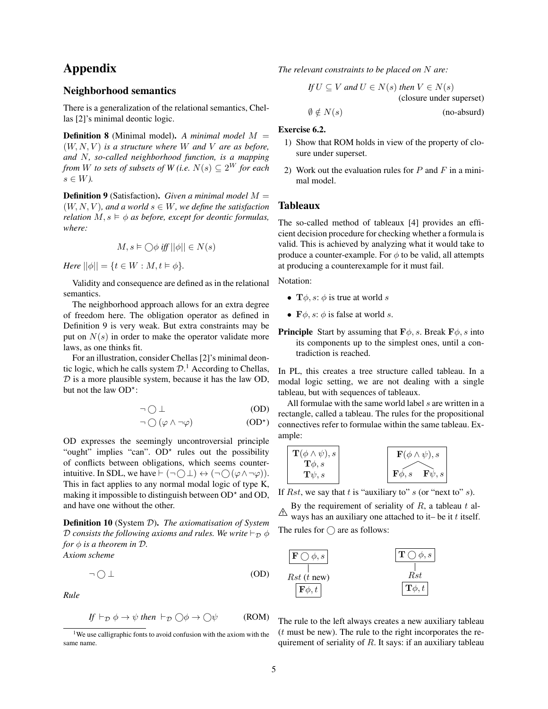## Appendix

### Neighborhood semantics

There is a generalization of the relational semantics, Chellas [2]'s minimal deontic logic.

Definition 8 (Minimal model). *A minimal model* M =  $(W, N, V)$  *is a structure where* W *and* V *are as before, and* N*, so-called neighborhood function, is a mapping from W to sets of subsets of W* (*i.e.*  $N(s) \subseteq 2^W$  *for each*  $s \in W$ ).

Definition 9 (Satisfaction). *Given a minimal model* M =  $(W, N, V)$ *, and a world*  $s \in W$ *, we define the satisfaction relation*  $M, s \models \phi$  *as before, except for deontic formulas, where:*

$$
M, s \vDash \bigcirc \phi \text{ iff } ||\phi|| \in N(s)
$$

*Here*  $||\phi|| = \{t \in W : M, t \models \phi\}.$ 

Validity and consequence are defined as in the relational semantics.

The neighborhood approach allows for an extra degree of freedom here. The obligation operator as defined in Definition 9 is very weak. But extra constraints may be put on  $N(s)$  in order to make the operator validate more laws, as one thinks fit.

For an illustration, consider Chellas [2]'s minimal deontic logic, which he calls system  $\mathcal{D}$ .<sup>1</sup> According to Chellas,  $D$  is a more plausible system, because it has the law OD, but not the law  $OD^*$ :

$$
\neg \bigcirc \bot \tag{OD}
$$

$$
\neg \bigcirc (\varphi \wedge \neg \varphi) \tag{OD*}
$$

OD expresses the seemingly uncontroversial principle "ought" implies "can".  $OD^*$  rules out the possibility of conflicts between obligations, which seems counterintuitive. In SDL, we have  $\vdash (\neg \bigcap \bot) \leftrightarrow (\neg \bigcap (\varphi \wedge \neg \varphi))$ . This in fact applies to any normal modal logic of type K, making it impossible to distinguish between  $OD^*$  and  $OD$ , and have one without the other.

Definition 10 (System D). *The axiomatisation of System D* consists the following axioms and rules. We write  $\vdash_{\mathcal{D}} \phi$ *for*  $\phi$  *is a theorem in*  $\mathcal{D}$ *. Axiom scheme*

$$
\neg \bigcirc \bot \tag{OD}
$$

*Rule*

$$
If \vdash_{\mathcal{D}} \phi \to \psi \text{ then } \vdash_{\mathcal{D}} \bigcirc \phi \to \bigcirc \psi \qquad (ROM)
$$

*The relevant constraints to be placed on* N *are:*

If 
$$
U \subseteq V
$$
 and  $U \in N(s)$  then  $V \in N(s)$   
(closure under superset)  
 $\emptyset \notin N(s)$  (no-absurd)

### Exercise 6.2.

- 1) Show that ROM holds in view of the property of closure under superset.
- 2) Work out the evaluation rules for  $P$  and  $F$  in a minimal model.

### Tableaux

The so-called method of tableaux [4] provides an efficient decision procedure for checking whether a formula is valid. This is achieved by analyzing what it would take to produce a counter-example. For  $\phi$  to be valid, all attempts at producing a counterexample for it must fail.

Notation:

- $\mathbf{T}\phi$ , s:  $\phi$  is true at world s
- $\mathbf{F}\phi$ , s:  $\phi$  is false at world s.
- **Principle** Start by assuming that  $\mathbf{F}\phi$ , s. Break  $\mathbf{F}\phi$ , s into its components up to the simplest ones, until a contradiction is reached.

In PL, this creates a tree structure called tableau. In a modal logic setting, we are not dealing with a single tableau, but with sequences of tableaux.

All formulae with the same world label  $s$  are written in a rectangle, called a tableau. The rules for the propositional connectives refer to formulae within the same tableau. Example:

$$
\begin{array}{|c|c|} \hline \textbf{T}(\phi \land \psi), s \\ \textbf{T}\phi, s \\ \textbf{T}\psi, s \end{array} \hspace{2cm} \begin{array}{|c|c|} \hline \textbf{F}(\phi \land \psi), s \\ \textbf{F}\phi, s & \textbf{F}\psi, s \end{array}
$$

If Rst, we say that t is "auxiliary to"  $s$  (or "next to"  $s$ ).

 $\triangle$  ways has an auxiliary one attached to it– be it t itself. By the requirement of seriality of  $R$ , a tableau  $t$  al-The rules for  $\bigcap$  are as follows:



The rule to the left always creates a new auxiliary tableau  $(t$  must be new). The rule to the right incorporates the requirement of seriality of  $R$ . It says: if an auxiliary tableau

<sup>&</sup>lt;sup>1</sup>We use calligraphic fonts to avoid confusion with the axiom with the same name.